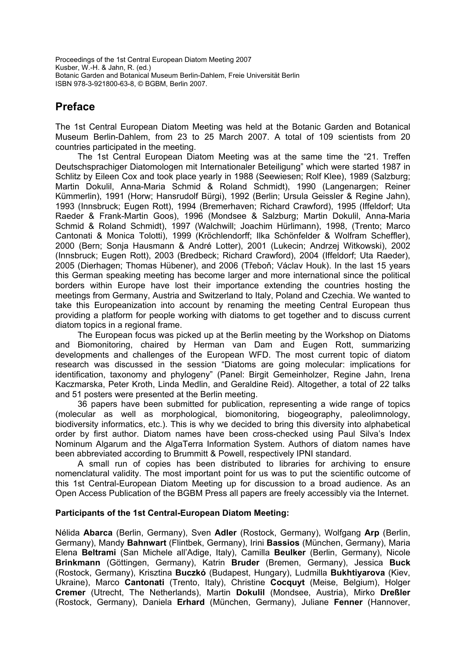Proceedings of the 1st Central European Diatom Meeting 2007 Kusber, W.-H. & Jahn, R. (ed.) Botanic Garden and Botanical Museum Berlin-Dahlem, Freie Universität Berlin ISBN 978-3-921800-63-8, © BGBM, Berlin 2007.

## **Preface**

The 1st Central European Diatom Meeting was held at the Botanic Garden and Botanical Museum Berlin-Dahlem, from 23 to 25 March 2007. A total of 109 scientists from 20 countries participated in the meeting.

The 1st Central European Diatom Meeting was at the same time the "21. Treffen Deutschsprachiger Diatomologen mit Internationaler Beteiligung" which were started 1987 in Schlitz by Eileen Cox and took place yearly in 1988 (Seewiesen; Rolf Klee), 1989 (Salzburg; Martin Dokulil, Anna-Maria Schmid & Roland Schmidt), 1990 (Langenargen; Reiner Kümmerlin), 1991 (Horw; Hansrudolf Bürgi), 1992 (Berlin; Ursula Geissler & Regine Jahn), 1993 (Innsbruck; Eugen Rott), 1994 (Bremerhaven; Richard Crawford), 1995 (Iffeldorf; Uta Raeder & Frank-Martin Goos), 1996 (Mondsee & Salzburg; Martin Dokulil, Anna-Maria Schmid & Roland Schmidt), 1997 (Walchwill; Joachim Hürlimann), 1998, (Trento; Marco Cantonati & Monica Tolotti), 1999 (Kröchlendorff; Ilka Schönfelder & Wolfram Scheffler), 2000 (Bern; Sonja Hausmann & André Lotter), 2001 (Lukecin; Andrzej Witkowski), 2002 (Innsbruck; Eugen Rott), 2003 (Bredbeck; Richard Crawford), 2004 (Iffeldorf; Uta Raeder), 2005 (Dierhagen; Thomas Hübener), and 2006 (Třeboň; Václav Houk). In the last 15 years this German speaking meeting has become larger and more international since the political borders within Europe have lost their importance extending the countries hosting the meetings from Germany, Austria and Switzerland to Italy, Poland and Czechia. We wanted to take this Europeanization into account by renaming the meeting Central European thus providing a platform for people working with diatoms to get together and to discuss current diatom topics in a regional frame.

The European focus was picked up at the Berlin meeting by the Workshop on Diatoms and Biomonitoring, chaired by Herman van Dam and Eugen Rott, summarizing developments and challenges of the European WFD. The most current topic of diatom research was discussed in the session "Diatoms are going molecular: implications for identification, taxonomy and phylogeny" (Panel: Birgit Gemeinholzer, Regine Jahn, Irena Kaczmarska, Peter Kroth, Linda Medlin, and Geraldine Reid). Altogether, a total of 22 talks and 51 posters were presented at the Berlin meeting.

36 papers have been submitted for publication, representing a wide range of topics (molecular as well as morphological, biomonitoring, biogeography, paleolimnology, biodiversity informatics, etc.). This is why we decided to bring this diversity into alphabetical order by first author. Diatom names have been cross-checked using Paul Silva's Index Nominum Algarum and the AlgaTerra Information System. Authors of diatom names have been abbreviated according to Brummitt & Powell, respectively IPNI standard.

A small run of copies has been distributed to libraries for archiving to ensure nomenclatural validity. The most important point for us was to put the scientific outcome of this 1st Central-European Diatom Meeting up for discussion to a broad audience. As an Open Access Publication of the BGBM Press all papers are freely accessibly via the Internet.

## **Participants of the 1st Central-European Diatom Meeting:**

Nélida **Abarca** (Berlin, Germany), Sven **Adler** (Rostock, Germany), Wolfgang **Arp** (Berlin, Germany), Mandy **Bahnwart** (Flintbek, Germany), Irini **Bassios** (München, Germany), Maria Elena **Beltrami** (San Michele all'Adige, Italy), Camilla **Beulker** (Berlin, Germany), Nicole **Brinkmann** (Göttingen, Germany), Katrin **Bruder** (Bremen, Germany), Jessica **Buck** (Rostock, Germany), Krisztina **Buczkó** (Budapest, Hungary), Ludmilla **Bukhtiyarova** (Kiev, Ukraine), Marco **Cantonati** (Trento, Italy), Christine **Cocquyt** (Meise, Belgium), Holger **Cremer** (Utrecht, The Netherlands), Martin **Dokulil** (Mondsee, Austria), Mirko **Dreßler** (Rostock, Germany), Daniela **Erhard** (München, Germany), Juliane **Fenner** (Hannover,